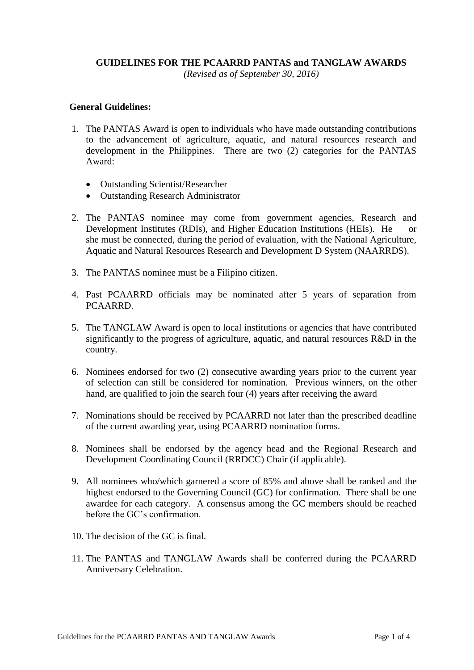### **GUIDELINES FOR THE PCAARRD PANTAS and TANGLAW AWARDS**

*(Revised as of September 30, 2016)*

#### **General Guidelines:**

- 1. The PANTAS Award is open to individuals who have made outstanding contributions to the advancement of agriculture, aquatic, and natural resources research and development in the Philippines. There are two (2) categories for the PANTAS Award:
	- Outstanding Scientist/Researcher
	- Outstanding Research Administrator
- 2. The PANTAS nominee may come from government agencies, Research and Development Institutes (RDIs), and Higher Education Institutions (HEIs). He or she must be connected, during the period of evaluation, with the National Agriculture, Aquatic and Natural Resources Research and Development D System (NAARRDS).
- 3. The PANTAS nominee must be a Filipino citizen.
- 4. Past PCAARRD officials may be nominated after 5 years of separation from PCAARRD.
- 5. The TANGLAW Award is open to local institutions or agencies that have contributed significantly to the progress of agriculture, aquatic, and natural resources R&D in the country.
- 6. Nominees endorsed for two (2) consecutive awarding years prior to the current year of selection can still be considered for nomination. Previous winners, on the other hand, are qualified to join the search four (4) years after receiving the award
- 7. Nominations should be received by PCAARRD not later than the prescribed deadline of the current awarding year, using PCAARRD nomination forms.
- 8. Nominees shall be endorsed by the agency head and the Regional Research and Development Coordinating Council (RRDCC) Chair (if applicable).
- 9. All nominees who/which garnered a score of 85% and above shall be ranked and the highest endorsed to the Governing Council (GC) for confirmation. There shall be one awardee for each category. A consensus among the GC members should be reached before the GC's confirmation.
- 10. The decision of the GC is final.
- 11. The PANTAS and TANGLAW Awards shall be conferred during the PCAARRD Anniversary Celebration.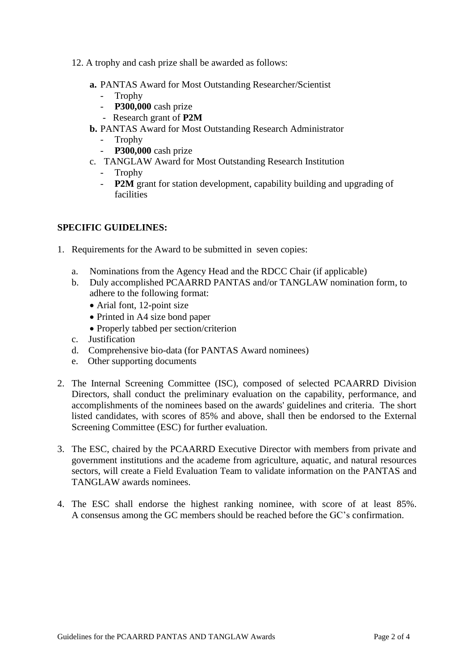- 12. A trophy and cash prize shall be awarded as follows:
	- **a.** PANTAS Award for Most Outstanding Researcher/Scientist
		- Trophy
		- **P300,000** cash prize
		- Research grant of **P2M**
	- **b.** PANTAS Award for Most Outstanding Research Administrator
		- **Trophy**
		- **P300,000** cash prize
	- c. TANGLAW Award for Most Outstanding Research Institution
		- Trophy
		- **P2M** grant for station development, capability building and upgrading of facilities

## **SPECIFIC GUIDELINES:**

- 1. Requirements for the Award to be submitted in seven copies:
	- a. Nominations from the Agency Head and the RDCC Chair (if applicable)
	- b. Duly accomplished PCAARRD PANTAS and/or TANGLAW nomination form, to adhere to the following format:
		- Arial font, 12-point size
		- Printed in A4 size bond paper
		- Properly tabbed per section/criterion
	- c. Justification
	- d. Comprehensive bio-data (for PANTAS Award nominees)
	- e. Other supporting documents
- 2. The Internal Screening Committee (ISC), composed of selected PCAARRD Division Directors, shall conduct the preliminary evaluation on the capability, performance, and accomplishments of the nominees based on the awards' guidelines and criteria. The short listed candidates, with scores of 85% and above, shall then be endorsed to the External Screening Committee (ESC) for further evaluation.
- 3. The ESC, chaired by the PCAARRD Executive Director with members from private and government institutions and the academe from agriculture, aquatic, and natural resources sectors, will create a Field Evaluation Team to validate information on the PANTAS and TANGLAW awards nominees.
- 4. The ESC shall endorse the highest ranking nominee, with score of at least 85%. A consensus among the GC members should be reached before the GC's confirmation.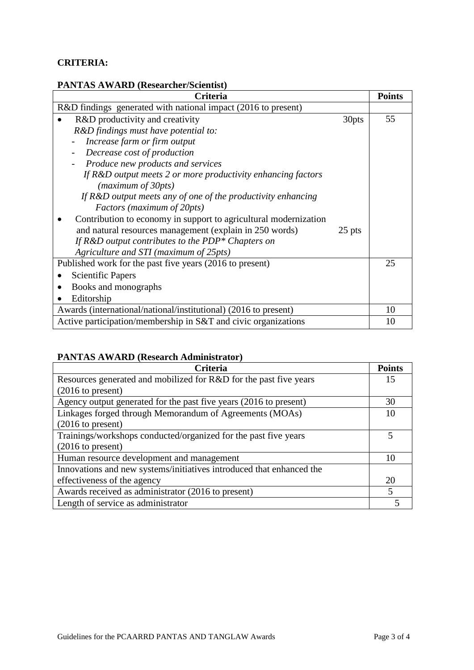## **CRITERIA:**

# **PANTAS AWARD (Researcher/Scientist)**

| <b>Criteria</b>                                                   | <b>Points</b> |
|-------------------------------------------------------------------|---------------|
| R&D findings generated with national impact (2016 to present)     |               |
| R&D productivity and creativity<br>30pts                          | 55            |
| R&D findings must have potential to:                              |               |
| Increase farm or firm output                                      |               |
| Decrease cost of production                                       |               |
| Produce new products and services                                 |               |
| If R&D output meets 2 or more productivity enhancing factors      |               |
| (maximum of 30pts)                                                |               |
| If $R&D$ output meets any of one of the productivity enhancing    |               |
| Factors (maximum of 20pts)                                        |               |
| Contribution to economy in support to agricultural modernization  |               |
| and natural resources management (explain in 250 words)<br>25 pts |               |
| If $R&D$ output contributes to the PDP* Chapters on               |               |
| Agriculture and STI (maximum of 25pts)                            |               |
| Published work for the past five years (2016 to present)          | 25            |
| <b>Scientific Papers</b>                                          |               |
| Books and monographs                                              |               |
| Editorship                                                        |               |
| Awards (international/national/institutional) (2016 to present)   | 10            |
| Active participation/membership in S&T and civic organizations    | 10            |

## **PANTAS AWARD (Research Administrator)**

| <b>Criteria</b>                                                      | <b>Points</b> |
|----------------------------------------------------------------------|---------------|
| Resources generated and mobilized for R&D for the past five years    | 15            |
| $(2016 \text{ to present})$                                          |               |
| Agency output generated for the past five years (2016 to present)    | 30            |
| Linkages forged through Memorandum of Agreements (MOAs)              | 10            |
| $(2016 \text{ to present})$                                          |               |
| Trainings/workshops conducted/organized for the past five years      |               |
| $(2016 \text{ to present})$                                          |               |
| Human resource development and management                            | 10            |
| Innovations and new systems/initiatives introduced that enhanced the |               |
| effectiveness of the agency                                          | 20            |
| Awards received as administrator (2016 to present)                   |               |
| Length of service as administrator                                   |               |